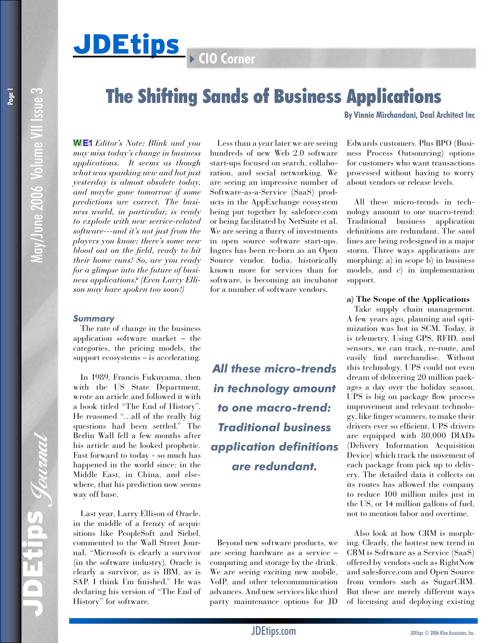# The Shifting Sands of Business Applications

**By Vinnie Mirchandani, Deal Architect Inc**

May/June 2006 Volume VII Issue 3 May/June 2006 Volume VII Issue 3

**Page 1**

 *Editor's Note: Blink and you may miss today's change in business applications. It seems as though what was spanking new and hot just yesterday is almost obsolete today, and maybe gone tomorrow if some predictions are correct. The business world, in particular, is ready to explode with new service-related software---and it's not just from the players you know: there's some new blood out on the field, ready to hit their home runs! So, are you ready for a glimpse into the future of business applications? (Even Larry Ellison may have spoken too soon!)* 

## *Summary*

The rate of change in the business application software market – the categories, the pricing models, the support ecosystems – is accelerating.

In 1989, Francis Fukuyama, then with the US State Department, wrote an article and followed it with a book titled "The End of History". He reasoned "…all of the really big questions had been settled." The Berlin Wall fell a few months after his article and he looked prophetic. Fast forward to today - so much has happened in the world since: in the Middle East, in China, and elsewhere, that his prediction now seems way off base.

Last year, Larry Ellison of Oracle, in the middle of a frenzy of acquisitions like PeopleSoft and Siebel, commented to the Wall Street Journal, "Microsoft is clearly a survivor (in the software industry), Oracle is clearly a survivor, as is IBM, as is SAP. I think I'm finished." He was declaring his version of "The End of History" for software.

Less than a year later we are seeing hundreds of new Web 2.0 software start-ups focused on search, collaboration, and social networking. We are seeing an impressive number of Software-as-a-Service (SaaS) products in the AppExchange ecosystem being put together by saleforce.com or being facilitated by NetSuite et al. We are seeing a flurry of investments in open source software start-ups. Ingres has been re-born as an Open Source vendor. India, historically known more for services than for software, is becoming an incubator for a number of software vendors.

*All these micro-trends in technology amount to one macro-trend: Traditional business application definitions are redundant.*

Beyond new software products, we are seeing hardware as a service – computing and storage by the drink. We are seeing exciting new mobile, VoIP, and other telecommunication advances. And new services like third party maintenance options for JD

Edwards customers. Plus BPO (Business Process Outsourcing) options for customers who want transactions processed without having to worry about vendors or release levels.

All these micro-trends in technology amount to one macro-trend: Traditional business application definitions are redundant. The sand lines are being redesigned in a major storm. Three ways applications are morphing: a) in scope b) in business models, and c) in implementation support.

### **a) The Scope of the Applications**

Take supply chain management. A few years ago, planning and optimization was hot in SCM. Today, it is telemetry. Using GPS, RFID, and sensors, we can track, re-route, and easily find merchandise. Without this technology, UPS could not even dream of delivering 20 million packages a day over the holiday season. UPS is big on package flow process improvement and relevant technology, like finger scanners, to make their drivers ever so efficient. UPS drivers are equipped with 80,000 DIADs (Delivery Information Acquisition Device) which track the movement of each package from pick up to delivery. The detailed data it collects on its routes has allowed the company to reduce 100 million miles just in the US, or 14 million gallons of fuel, not to mention labor and overtime.

Also look at how CRM is morphing. Clearly, the hottest new trend in CRM is Software as a Service (SaaS) offered by vendors such as RightNow and salesforce.com and Open Source from vendors such as SugarCRM. But these are merely different ways of licensing and deploying existing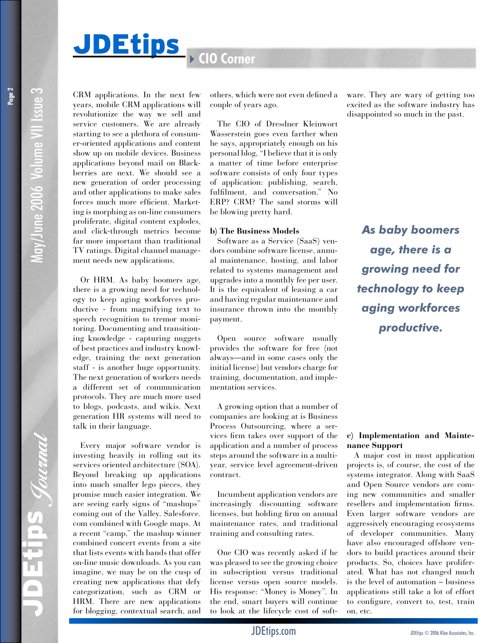# **JDEtips** 4**CIO Corner**

CRM applications. In the next few years, mobile CRM applications will revolutionize the way we sell and service customers. We are already starting to see a plethora of consumer-oriented applications and content show up on mobile devices. Business applications beyond mail on Blackberries are next. We should see a new generation of order processing and other applications to make sales forces much more efficient. Marketing is morphing as on-line consumers proliferate, digital content explodes, and click-through metrics become far more important than traditional TV ratings. Digital channel management needs new applications.

Or HRM. As baby boomers age, there is a growing need for technology to keep aging workforces productive - from magnifying text to speech recognition to tremor monitoring. Documenting and transitioning knowledge - capturing nuggets of best practices and industry knowledge, training the next generation staff - is another huge opportunity. The next generation of workers needs a different set of communication protocols. They are much more used to blogs, podcasts, and wikis. Next generation HR systems will need to talk in their language.

Every major software vendor is investing heavily in rolling out its services oriented architecture (SOA). Beyond breaking up applications into much smaller lego pieces, they promise much easier integration. We are seeing early signs of "mashups" coming out of the Valley. Salesforce. com combined with Google maps. At a recent "camp," the mashup winner combined concert events from a site that lists events with bands that offer on-line music downloads. As you can imagine, we may be on the cusp of creating new applications that defy categorization, such as CRM or HRM. There are new applications for blogging, contextual search, and others, which were not even defined a couple of years ago.

The CIO of Dresdner Kleinwort Wasserstein goes even farther when he says, appropriately enough on his personal blog, "I believe that it is only a matter of time before enterprise software consists of only four types of application: publishing, search, fulfilment, and conversation." No ERP? CRM? The sand storms will be blowing pretty hard.

#### **b) The Business Models**

Software as a Service (SaaS) vendors combine software license, annual maintenance, hosting, and labor related to systems management and upgrades into a monthly fee per user. It is the equivalent of leasing a car and having regular maintenance and insurance thrown into the monthly payment.

Open source software usually provides the software for free (not always—and in some cases only the initial license) but vendors charge for training, documentation, and implementation services.

A growing option that a number of companies are looking at is Business Process Outsourcing, where a services firm takes over support of the application and a number of process steps around the software in a multiyear, service level agreement-driven contract.

Incumbent application vendors are increasingly discounting software licenses, but holding firm on annual maintenance rates, and traditional training and consulting rates.

One CIO was recently asked if he was pleased to see the growing choice in subscription versus traditional license versus open source models. His response: "Money is Money". In the end, smart buyers will continue to look at the lifecycle cost of software. They are wary of getting too excited as the software industry has disappointed so much in the past.

*As baby boomers age, there is a growing need for technology to keep aging workforces productive.*

### **c) Implementation and Maintenance Support**

A major cost in most application projects is, of course, the cost of the systems integrator. Along with SaaS and Open Source vendors are coming new communities and smaller resellers and implementation firms. Even larger software vendors are aggressively encouraging ecosystems of developer communities. Many have also encouraged offshore vendors to build practices around their products. So, choices have proliferated. What has not changed much is the level of automation – business applications still take a lot of effort to configure, convert to, test, train on, etc.

May/June 2006 Volume VII Issue 3

May/June 2006 Volume VII Issue 3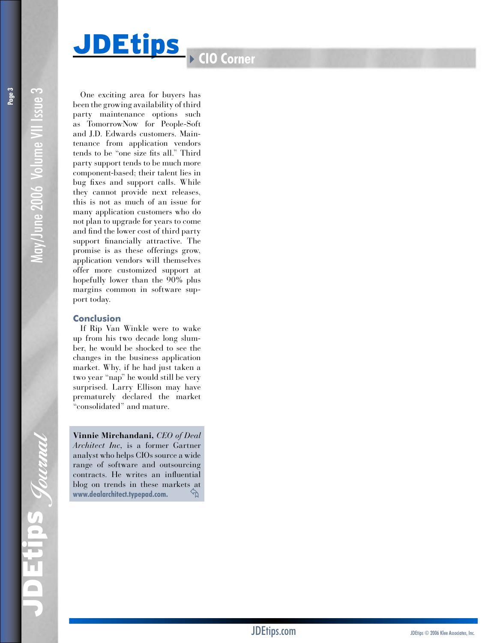# **JDEtips** 4**CIO Corner**

One exciting area for buyers has been the growing availability of third party maintenance options such as TomorrowNow for People-Soft and J.D. Edwards customers. Main tenance from application vendors tends to be "one size fits all." Third party support tends to be much more component-based; their talent lies in bug fixes and support calls. While they cannot provide next releases, this is not as much of an issue for many application customers who do not plan to upgrade for years to come and find the lower cost of third party support financially attractive. The promise is as these offerings grow, application vendors will themselves offer more customized support at hopefully lower than the 90% plus margins common in software sup port today.

# **Conclusion**

If Rip Van Winkle were to wake up from his two decade long slum ber, he would be shocked to see the changes in the business application market. Why, if he had just taken a two year "nap" he would still be very surprised. Larry Ellison may have prematurely declared the market "consolidated" and mature.

**Vinnie Mirchandani,** *CEO of Deal Architect Inc,* is a former Gartner analyst who helps CIOs source a wide range of software and outsourcing contracts. He writes an influential blog on trends in these markets at **www.dealarchitect.typepad.com.**  ≈

May/June 2006 Volume VII Issue 3

May/June 2006 Volume VII Issue 3

IPS Jouanal JDEtips Journal i<br>II  $\blacksquare$